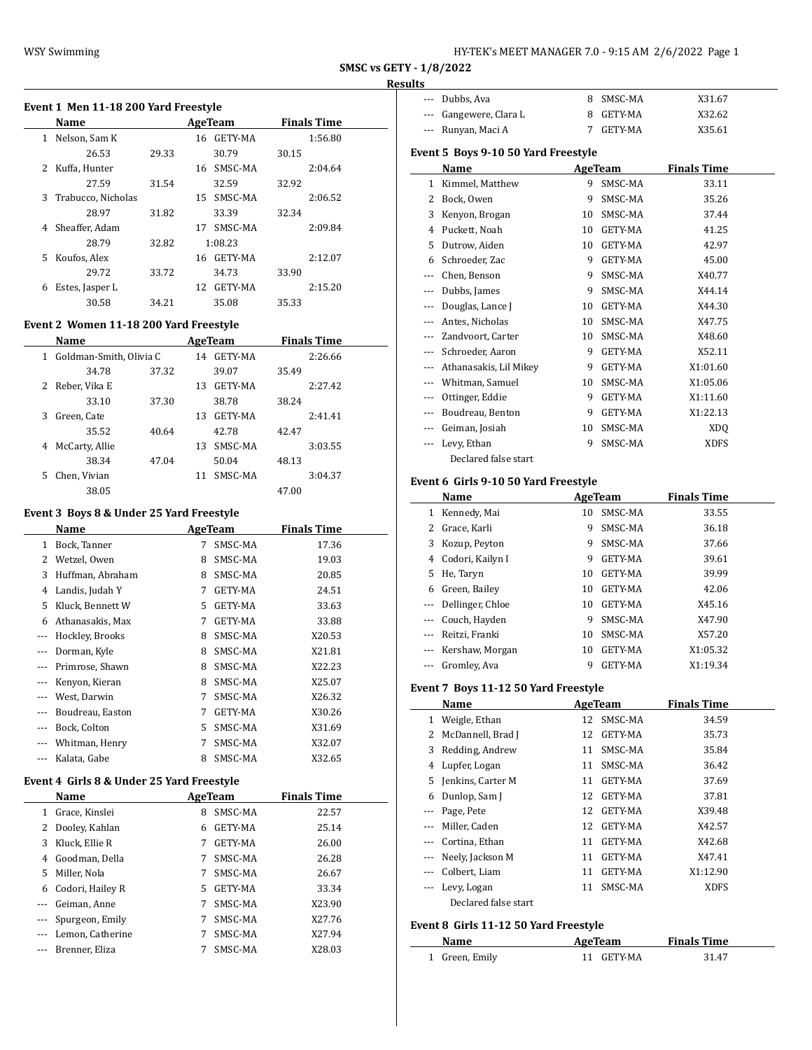| HY-TEK's MEET MANAGER 7.0 - 9:15 AM 2/6/2022 Page 1 |
|-----------------------------------------------------|
|-----------------------------------------------------|

## **Results**

|  |  |  |  |  | Event 1 Men 11-18 200 Yard Freestyle |
|--|--|--|--|--|--------------------------------------|
|--|--|--|--|--|--------------------------------------|

|    | Name               |       | AgeTeam       | <b>Finals Time</b> |  |
|----|--------------------|-------|---------------|--------------------|--|
| 1  | Nelson, Sam K      |       | 16 GETY-MA    | 1:56.80            |  |
|    | 26.53              | 29.33 | 30.79         | 30.15              |  |
|    | Kuffa, Hunter      |       | 16 SMSC-MA    | 2:04.64            |  |
|    | 27.59              | 31.54 | 32.59         | 32.92              |  |
| 3. | Trabucco, Nicholas |       | SMSC-MA<br>15 | 2:06.52            |  |
|    | 28.97              | 31.82 | 33.39         | 32.34              |  |
| 4  | Sheaffer, Adam     |       | SMSC-MA<br>17 | 2:09.84            |  |
|    | 28.79              | 32.82 | 1:08.23       |                    |  |
| 5. | Koufos, Alex       |       | 16 GETY-MA    | 2:12.07            |  |
|    | 29.72              | 33.72 | 34.73         | 33.90              |  |
| 6  | Estes, Jasper L    |       | GETY-MA<br>12 | 2:15.20            |  |
|    | 30.58              | 34.21 | 35.08         | 35.33              |  |
|    |                    |       |               |                    |  |

#### **Event 2 Women 11-18 200 Yard Freestyle**

|    | Name                    |       |    | AgeTeam |       | <b>Finals Time</b> |  |
|----|-------------------------|-------|----|---------|-------|--------------------|--|
| 1  | Goldman-Smith, Olivia C |       | 14 | GETY-MA |       | 2:26.66            |  |
|    | 34.78                   | 37.32 |    | 39.07   | 35.49 |                    |  |
| 2  | Reber, Vika E           |       | 13 | GETY-MA |       | 2:27.42            |  |
|    | 33.10                   | 37.30 |    | 38.78   | 38.24 |                    |  |
| 3  | Green. Cate             |       | 13 | GETY-MA |       | 2:41.41            |  |
|    | 35.52                   | 40.64 |    | 42.78   | 42.47 |                    |  |
| 4  | McCarty, Allie          |       | 13 | SMSC-MA |       | 3:03.55            |  |
|    | 38.34                   | 47.04 |    | 50.04   | 48.13 |                    |  |
| 5. | Chen, Vivian            |       | 11 | SMSC-MA |       | 3:04.37            |  |
|    | 38.05                   |       |    |         | 47.00 |                    |  |

### **Event 3 Boys 8 & Under 25 Yard Freestyle**

|       | Name             |    | AgeTeam        | <b>Finals Time</b> |
|-------|------------------|----|----------------|--------------------|
| 1     | Bock, Tanner     | 7  | SMSC-MA        | 17.36              |
| 2     | Wetzel, Owen     | 8  | SMSC-MA        | 19.03              |
| 3     | Huffman, Abraham | 8  | SMSC-MA        | 20.85              |
| 4     | Landis, Judah Y  | 7  | GETY-MA        | 24.51              |
| 5     | Kluck, Bennett W | 5. | GETY-MA        | 33.63              |
| 6     | Athanasakis, Max | 7  | <b>GETY-MA</b> | 33.88              |
|       | Hockley, Brooks  | 8  | SMSC-MA        | X20.53             |
|       | Dorman, Kyle     | 8  | SMSC-MA        | X21.81             |
|       | Primrose, Shawn  | 8  | SMSC-MA        | X22.23             |
|       | Kenyon, Kieran   | 8  | SMSC-MA        | X25.07             |
| $---$ | West, Darwin     | 7  | SMSC-MA        | X26.32             |
|       | Boudreau, Easton | 7  | <b>GETY-MA</b> | X30.26             |
|       | Bock, Colton     | 5. | SMSC-MA        | X31.69             |
| $---$ | Whitman, Henry   | 7  | SMSC-MA        | X32.07             |
|       | Kalata, Gabe     | 8  | SMSC-MA        | X32.65             |

### **Event 4 Girls 8 & Under 25 Yard Freestyle**

|   | Name             |    | AgeTeam | <b>Finals Time</b> |
|---|------------------|----|---------|--------------------|
| 1 | Grace, Kinslei   | 8  | SMSC-MA | 22.57              |
| 2 | Dooley, Kahlan   | 6  | GETY-MA | 25.14              |
| 3 | Kluck, Ellie R   |    | GETY-MA | 26.00              |
| 4 | Goodman, Della   |    | SMSC-MA | 26.28              |
| 5 | Miller, Nola     |    | SMSC-MA | 26.67              |
| 6 | Codori, Hailey R | 5. | GETY-MA | 33.34              |
|   | Geiman, Anne     |    | SMSC-MA | X23.90             |
|   | Spurgeon, Emily  |    | SMSC-MA | X27.76             |
|   | Lemon, Catherine |    | SMSC-MA | X27.94             |
|   | Brenner, Eliza   |    | SMSC-MA | X28.03             |

| --- Dubbs, Ava         | 8 SMSC-MA | X31.67 |
|------------------------|-----------|--------|
| --- Gangewere, Clara L | 8 GETY-MA | X32.62 |
| --- Runyan, Maci A     | GETY-MA   | X35.61 |
|                        |           |        |

### **Event 5 Boys 9-10 50 Yard Freestyle**

|     | Name                   |    | <b>AgeTeam</b> | <b>Finals Time</b> |  |
|-----|------------------------|----|----------------|--------------------|--|
| 1   | Kimmel, Matthew        | 9  | SMSC-MA        | 33.11              |  |
| 2   | Bock, Owen             | 9  | SMSC-MA        | 35.26              |  |
| 3   | Kenyon, Brogan         | 10 | SMSC-MA        | 37.44              |  |
| 4   | Puckett, Noah          | 10 | GETY-MA        | 41.25              |  |
| 5   | Dutrow, Aiden          | 10 | GETY-MA        | 42.97              |  |
| 6   | Schroeder, Zac         | 9  | GETY-MA        | 45.00              |  |
| --- | Chen, Benson           | 9  | SMSC-MA        | X40.77             |  |
| --- | Dubbs, James           | 9  | SMSC-MA        | X44.14             |  |
| --- | Douglas, Lance J       | 10 | <b>GETY-MA</b> | X44.30             |  |
|     | Antes, Nicholas        | 10 | SMSC-MA        | X47.75             |  |
|     | Zandvoort, Carter      | 10 | SMSC-MA        | X48.60             |  |
|     | Schroeder, Aaron       | 9  | <b>GETY-MA</b> | X52.11             |  |
|     | Athanasakis, Lil Mikey | 9  | GETY-MA        | X1:01.60           |  |
| --- | Whitman, Samuel        | 10 | SMSC-MA        | X1:05.06           |  |
| --- | Ottinger, Eddie        | 9  | GETY-MA        | X1:11.60           |  |
|     | Boudreau, Benton       | 9  | GETY-MA        | X1:22.13           |  |
|     | Geiman, Josiah         | 10 | SMSC-MA        | XDQ                |  |
|     | Levy, Ethan            | 9  | SMSC-MA        | <b>XDFS</b>        |  |
|     | Declared false start   |    |                |                    |  |

## **Event 6 Girls 9-10 50 Yard Freestyle**

|          | Name             |    | AgeTeam        | <b>Finals Time</b> |  |
|----------|------------------|----|----------------|--------------------|--|
| 1        | Kennedy, Mai     | 10 | SMSC-MA        | 33.55              |  |
| 2        | Grace, Karli     | 9  | SMSC-MA        | 36.18              |  |
| 3        | Kozup, Peyton    | 9  | SMSC-MA        | 37.66              |  |
| 4        | Codori, Kailyn I | 9  | <b>GETY-MA</b> | 39.61              |  |
| 5.       | He, Taryn        | 10 | <b>GETY-MA</b> | 39.99              |  |
| 6        | Green, Bailey    | 10 | <b>GETY-MA</b> | 42.06              |  |
| $\cdots$ | Dellinger, Chloe | 10 | GETY-MA        | X45.16             |  |
| $\cdots$ | Couch, Hayden    | 9  | SMSC-MA        | X47.90             |  |
|          | Reitzi, Franki   | 10 | SMSC-MA        | X57.20             |  |
| $\cdots$ | Kershaw, Morgan  | 10 | <b>GETY-MA</b> | X1:05.32           |  |
|          | Gromley, Ava     | 9  | <b>GETY-MA</b> | X1:19.34           |  |

### **Event 7 Boys 11-12 50 Yard Freestyle**

|          | Name                 |    | AgeTeam        | <b>Finals Time</b> |
|----------|----------------------|----|----------------|--------------------|
| 1        | Weigle, Ethan        | 12 | SMSC-MA        | 34.59              |
| 2        | McDannell, Brad J    | 12 | GETY-MA        | 35.73              |
| 3        | Redding, Andrew      | 11 | SMSC-MA        | 35.84              |
| 4        | Lupfer, Logan        | 11 | SMSC-MA        | 36.42              |
| 5.       | Jenkins, Carter M    | 11 | GETY-MA        | 37.69              |
| 6        | Dunlop, Sam J        | 12 | GETY-MA        | 37.81              |
|          | Page, Pete           | 12 | <b>GETY-MA</b> | X39.48             |
| $\cdots$ | Miller, Caden        | 12 | <b>GETY-MA</b> | X42.57             |
|          | Cortina, Ethan       | 11 | GETY-MA        | X42.68             |
|          | Neely, Jackson M     | 11 | <b>GETY-MA</b> | X47.41             |
|          | Colbert, Liam        | 11 | GETY-MA        | X1:12.90           |
|          | Levy, Logan          | 11 | SMSC-MA        | <b>XDFS</b>        |
|          | Declared false start |    |                |                    |

### **Event 8 Girls 11-12 50 Yard Freestyle**

| Name           | AgeTeam    | <b>Finals Time</b> |  |
|----------------|------------|--------------------|--|
| 1 Green, Emily | 11 GETY-MA | 31.47              |  |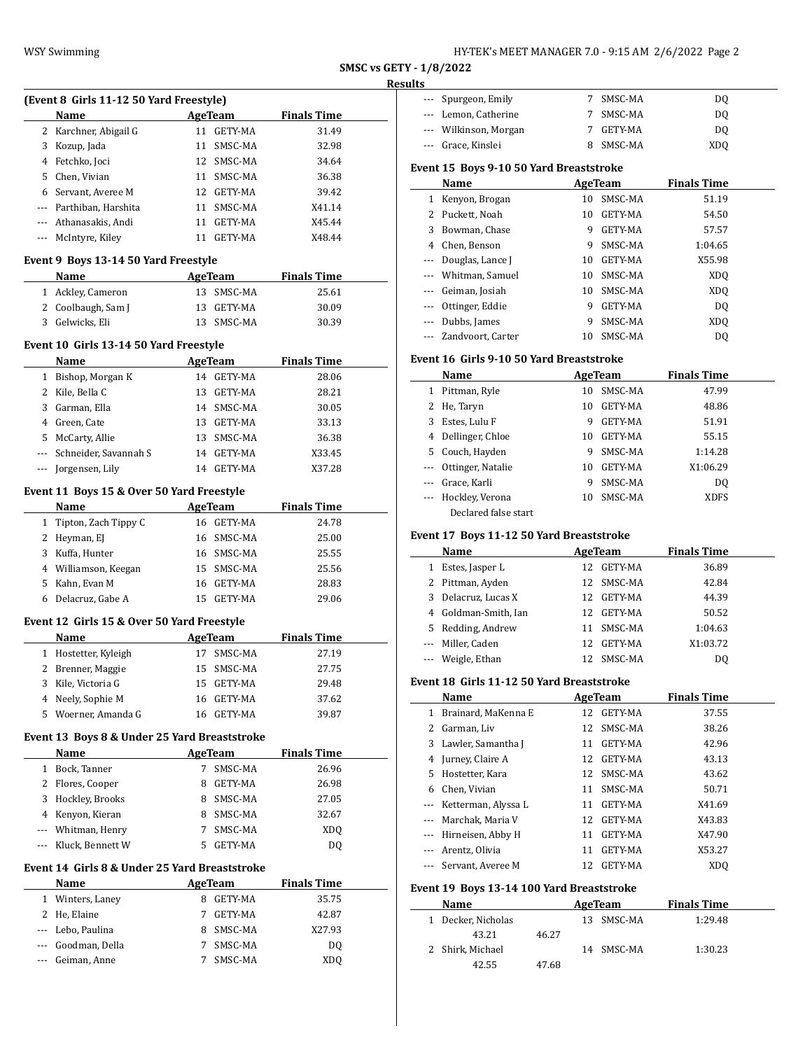| HY-TEK's MEET MANAGER 7.0 - 9:15 AM  2/6/2022  Page 2 |  |  |
|-------------------------------------------------------|--|--|
|-------------------------------------------------------|--|--|

|                         | . |  |
|-------------------------|---|--|
| SMSC vs GETY - 1/8/2022 |   |  |

#### **Results**

|              |                                                |    |                |                    | $\mathbf{R}$ |
|--------------|------------------------------------------------|----|----------------|--------------------|--------------|
|              | (Event 8 Girls 11-12 50 Yard Freestyle)        |    |                |                    |              |
|              | Name                                           |    | <b>AgeTeam</b> | <b>Finals Time</b> |              |
|              | 2 Karchner, Abigail G                          |    | 11 GETY-MA     | 31.49              |              |
| 3            | Kozup, Jada                                    |    | 11 SMSC-MA     | 32.98              |              |
| 4            | Fetchko, Joci                                  |    | 12 SMSC-MA     | 34.64              |              |
| 5            | Chen, Vivian                                   |    | 11 SMSC-MA     | 36.38              |              |
|              | 6 Servant, Averee M                            |    | 12 GETY-MA     | 39.42              |              |
|              | --- Parthiban, Harshita                        |    | 11 SMSC-MA     | X41.14             |              |
|              | --- Athanasakis, Andi                          | 11 | GETY-MA        | X45.44             |              |
| ---          | McIntyre, Kiley                                |    | 11 GETY-MA     | X48.44             |              |
|              | Event 9 Boys 13-14 50 Yard Freestyle           |    |                |                    |              |
|              | Name                                           |    | <b>AgeTeam</b> | <b>Finals Time</b> |              |
| 1            | Ackley, Cameron                                |    | 13 SMSC-MA     | 25.61              |              |
| 2            | Coolbaugh, Sam J                               | 13 | GETY-MA        | 30.09              |              |
|              | 3 Gelwicks, Eli                                |    | 13 SMSC-MA     | 30.39              |              |
|              |                                                |    |                |                    |              |
|              | Event 10 Girls 13-14 50 Yard Freestyle         |    |                |                    |              |
|              | Name                                           |    | <b>AgeTeam</b> | <b>Finals Time</b> |              |
| $\mathbf{1}$ | Bishop, Morgan K                               |    | 14 GETY-MA     | 28.06              |              |
| 2            | Kile, Bella C                                  | 13 | GETY-MA        | 28.21              |              |
| 3            | Garman, Ella                                   |    | 14 SMSC-MA     | 30.05              |              |
| 4            | Green, Cate                                    |    | 13 GETY-MA     | 33.13              |              |
| 5            | McCarty, Allie                                 |    | 13 SMSC-MA     | 36.38              |              |
| ---          | Schneider, Savannah S                          | 14 | GETY-MA        | X33.45             |              |
| ---          | Jorgensen, Lily                                |    | 14 GETY-MA     | X37.28             |              |
|              | Event 11 Boys 15 & Over 50 Yard Freestyle      |    |                |                    |              |
|              | Name                                           |    | AgeTeam        | <u>Finals Time</u> |              |
| 1            | Tipton, Zach Tippy C                           |    | 16 GETY-MA     | 24.78              |              |
|              | 2 Heyman, EJ                                   |    | 16 SMSC-MA     | 25.00              |              |
|              | 3 Kuffa, Hunter                                |    | 16 SMSC-MA     | 25.55              |              |
|              | 4 Williamson, Keegan                           |    | 15 SMSC-MA     | 25.56              |              |
| 5            | Kahn, Evan M                                   | 16 | GETY-MA        | 28.83              |              |
| 6            | Delacruz, Gabe A                               | 15 | GETY-MA        | 29.06              |              |
|              |                                                |    |                |                    |              |
|              | Event 12 Girls 15 & Over 50 Yard Freestyle     |    |                |                    |              |
|              | Name                                           |    | AgeTeam        | <b>Finals Time</b> |              |
| 1            | Hostetter, Kyleigh                             | 17 | SMSC-MA        | 27.19              |              |
| 2            | Brenner, Maggie                                | 15 | SMSC-MA        | 27.75              |              |
| 3            | Kile, Victoria G                               | 15 | GETY-MA        | 29.48              |              |
| 4            | Neely, Sophie M                                | 16 | GETY-MA        | 37.62              |              |
| 5            | Woerner, Amanda G                              | 16 | <b>GETY-MA</b> | 39.87              |              |
|              | Event 13 Boys 8 & Under 25 Yard Breaststroke   |    |                |                    |              |
|              | Name                                           |    | <b>AgeTeam</b> | <b>Finals Time</b> |              |
| 1            | Bock, Tanner                                   | 7  | SMSC-MA        | 26.96              |              |
| 2            | Flores, Cooper                                 | 8  | GETY-MA        | 26.98              |              |
| 3            | Hockley, Brooks                                | 8  | SMSC-MA        | 27.05              |              |
| 4            | Kenyon, Kieran                                 | 8  | SMSC-MA        | 32.67              |              |
|              | Whitman, Henry                                 | 7  | SMSC-MA        |                    |              |
| ---          |                                                |    |                | XDQ                |              |
| ---          | Kluck, Bennett W                               | 5  | GETY-MA        | DQ                 |              |
|              | Event 14  Girls 8 & Under 25 Yard Breaststroke |    |                |                    |              |
|              | Name                                           |    | AgeTeam        | <b>Finals Time</b> |              |
| 1            | Winters, Laney                                 | 8  | GETY-MA        | 35.75              |              |
| 2            | He, Elaine                                     | 7  | GETY-MA        | 42.87              |              |
| ---          | Lebo, Paulina                                  | 8  | SMSC-MA        | X27.93             |              |
| ---          | Goodman, Della                                 | 7  | SMSC-MA        | DQ                 |              |
| ---          | Geiman, Anne                                   | 7  | SMSC-MA        | <b>XDQ</b>         |              |

| --- Spurgeon, Emily   | SMSC-MA   | DO. |
|-----------------------|-----------|-----|
| --- Lemon, Catherine  | SMSC-MA   | DO. |
| --- Wilkinson, Morgan | GETY-MA   | DO. |
| --- Grace, Kinslei    | 8 SMSC-MA | XDO |

## **Event 15 Boys 9-10 50 Yard Breaststroke**

|          | Name                |    | AgeTeam | <b>Finals Time</b> |  |
|----------|---------------------|----|---------|--------------------|--|
|          | Kenyon, Brogan      | 10 | SMSC-MA | 51.19              |  |
|          | 2 Puckett, Noah     | 10 | GETY-MA | 54.50              |  |
| 3        | Bowman, Chase       | 9  | GETY-MA | 57.57              |  |
| 4        | Chen, Benson        | 9  | SMSC-MA | 1:04.65            |  |
| $\cdots$ | Douglas, Lance J    | 10 | GETY-MA | X55.98             |  |
|          | --- Whitman, Samuel | 10 | SMSC-MA | XD <sub>O</sub>    |  |
|          | --- Geiman, Josiah  | 10 | SMSC-MA | XD <sub>0</sub>    |  |
| $\cdots$ | Ottinger, Eddie     | 9  | GETY-MA | D <sub>0</sub>     |  |
|          | Dubbs, James        | 9  | SMSC-MA | XD <sub>0</sub>    |  |
|          | Zandvoort. Carter   | 10 | SMSC-MA | DO                 |  |

#### **Event 16 Girls 9-10 50 Yard Breaststroke**

|                      | Name                 |    | AgeTeam | <b>Finals Time</b> |  |
|----------------------|----------------------|----|---------|--------------------|--|
| 1                    | Pittman, Ryle        | 10 | SMSC-MA | 47.99              |  |
| $^{2}$               | He, Taryn            | 10 | GETY-MA | 48.86              |  |
| 3                    | Estes, Lulu F        | 9  | GETY-MA | 51.91              |  |
| 4                    | Dellinger, Chloe     | 10 | GETY-MA | 55.15              |  |
| 5                    | Couch, Hayden        | 9  | SMSC-MA | 1:14.28            |  |
| $\cdots$             | Ottinger, Natalie    | 10 | GETY-MA | X1:06.29           |  |
| $\cdots$             | Grace, Karli         | 9  | SMSC-MA | DO.                |  |
| $\sim$ $\sim$ $\sim$ | Hockley, Verona      | 10 | SMSC-MA | <b>XDFS</b>        |  |
|                      | Declared false start |    |         |                    |  |

### **Event 17 Boys 11-12 50 Yard Breaststroke**

|   | Name                 | AgeTeam |            | <b>Finals Time</b> |  |
|---|----------------------|---------|------------|--------------------|--|
| 1 | Estes, Jasper L      | 12.     | GETY-MA    | 36.89              |  |
|   | 2 Pittman, Ayden     |         | 12 SMSC-MA | 42.84              |  |
|   | 3 Delacruz, Lucas X  | 12.     | GETY-MA    | 44.39              |  |
|   | 4 Goldman-Smith, Ian | 12.     | GETY-MA    | 50.52              |  |
|   | 5 Redding, Andrew    | 11      | SMSC-MA    | 1:04.63            |  |
|   | --- Miller, Caden    | 12.     | GETY-MA    | X1:03.72           |  |
|   | --- Weigle, Ethan    |         | SMSC-MA    | DO                 |  |

#### **Event 18 Girls 11-12 50 Yard Breaststroke**

|          | Name                    |    | AgeTeam        | <b>Finals Time</b> |  |
|----------|-------------------------|----|----------------|--------------------|--|
| 1        | Brainard, MaKenna E     | 12 | GETY-MA        | 37.55              |  |
| 2        | Garman, Liv             | 12 | SMSC-MA        | 38.26              |  |
| 3        | Lawler, Samantha J      | 11 | GETY-MA        | 42.96              |  |
| 4        | Jurney, Claire A        | 12 | GETY-MA        | 43.13              |  |
| 5.       | Hostetter, Kara         | 12 | SMSC-MA        | 43.62              |  |
|          | 6 Chen, Vivian          | 11 | SMSC-MA        | 50.71              |  |
|          | --- Ketterman, Alyssa L | 11 | <b>GETY-MA</b> | X41.69             |  |
|          | --- Marchak, Maria V    | 12 | GETY-MA        | X43.83             |  |
| $\cdots$ | Hirneisen, Abby H       | 11 | GETY-MA        | X47.90             |  |
|          | Arentz, Olivia          | 11 | <b>GETY-MA</b> | X53.27             |  |
|          | --- Servant, Averee M   | 12 | GETY-MA        | XD <sub>O</sub>    |  |

### **Event 19 Boys 13-14 100 Yard Breaststroke**

| Name               |       | AgeTeam        | <b>Finals Time</b> |
|--------------------|-------|----------------|--------------------|
| 1 Decker, Nicholas |       | SMSC-MA<br>13. | 1:29.48            |
| 43.21              | 46.27 |                |                    |
| 2 Shirk, Michael   |       | 14 SMSC-MA     | 1:30.23            |
| 42.55              | 47.68 |                |                    |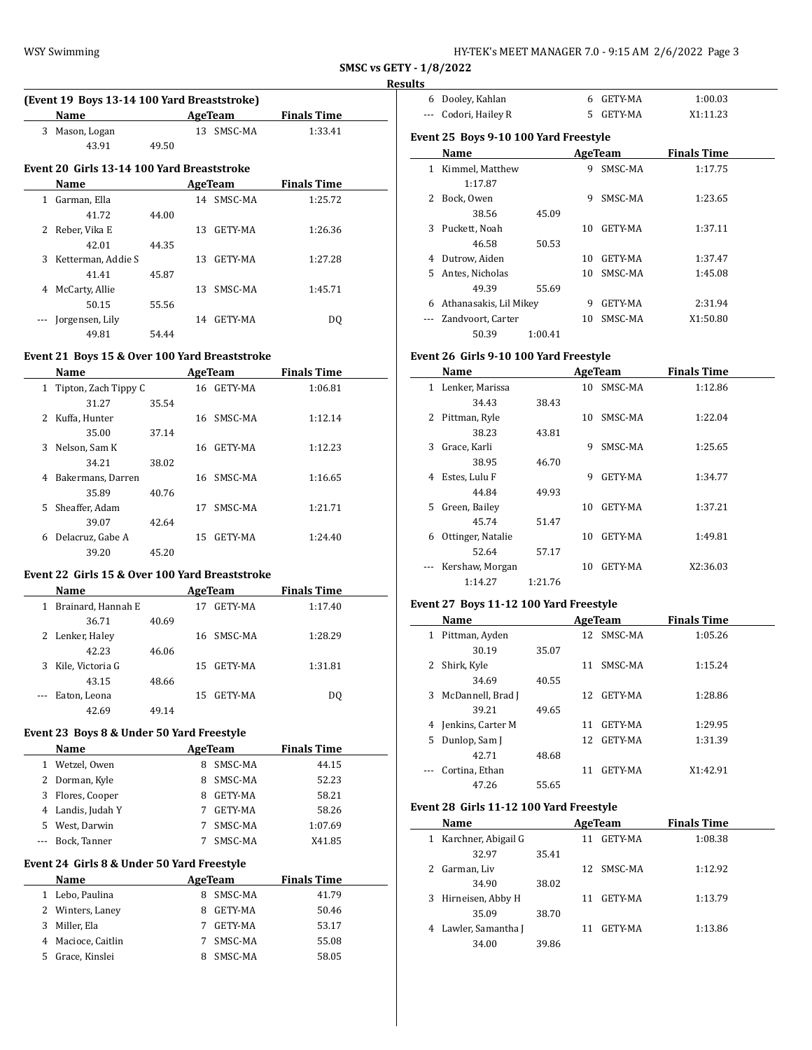| HY-TEK's MEET MANAGER 7.0 - 9:15 AM 2/6/2022 Page 3 |  |  |  |  |  |
|-----------------------------------------------------|--|--|--|--|--|
|-----------------------------------------------------|--|--|--|--|--|

 $\overline{\phantom{a}}$ 

#### **Results**

|               | (Event 19 Boys 13-14 100 Yard Breaststroke) |       |    |            |                    |  |  |  |
|---------------|---------------------------------------------|-------|----|------------|--------------------|--|--|--|
|               | Name                                        |       |    | AgeTeam    | <b>Finals Time</b> |  |  |  |
| 3             | Mason, Logan                                |       |    | 13 SMSC-MA | 1:33.41            |  |  |  |
|               | 43.91                                       | 49.50 |    |            |                    |  |  |  |
|               | Event 20 Girls 13-14 100 Yard Breaststroke  |       |    |            |                    |  |  |  |
|               | Name                                        |       |    | AgeTeam    | <b>Finals Time</b> |  |  |  |
| 1.            | Garman, Ella                                |       |    | 14 SMSC-MA | 1:25.72            |  |  |  |
|               | 41.72                                       | 44.00 |    |            |                    |  |  |  |
| $\mathcal{L}$ | Reber, Vika E                               |       | 13 | GETY-MA    | 1:26.36            |  |  |  |
|               | 42.01                                       | 44.35 |    |            |                    |  |  |  |
| 3             | Ketterman, Addie S                          |       | 13 | GETY-MA    | 1:27.28            |  |  |  |
|               | 41.41                                       | 45.87 |    |            |                    |  |  |  |
| 4             | McCarty, Allie                              |       | 13 | SMSC-MA    | 1:45.71            |  |  |  |
|               | 50.15                                       | 55.56 |    |            |                    |  |  |  |
|               | Jorgensen, Lily                             |       | 14 | GETY-MA    | DO.                |  |  |  |
|               | 49.81                                       | 54.44 |    |            |                    |  |  |  |

### **Event 21 Boys 15 & Over 100 Yard Breaststroke**

|    | <b>Name</b>            |       |     | AgeTeam    | <b>Finals Time</b> |  |
|----|------------------------|-------|-----|------------|--------------------|--|
|    | 1 Tipton, Zach Tippy C |       |     | 16 GETY-MA | 1:06.81            |  |
|    | 31.27                  | 35.54 |     |            |                    |  |
| 2  | Kuffa, Hunter          |       |     | 16 SMSC-MA | 1:12.14            |  |
|    | 35.00                  | 37.14 |     |            |                    |  |
| 3  | Nelson, Sam K          |       | 16  | GETY-MA    | 1:12.23            |  |
|    | 34.21                  | 38.02 |     |            |                    |  |
| 4  | Bakermans, Darren      |       | 16  | SMSC-MA    | 1:16.65            |  |
|    | 35.89                  | 40.76 |     |            |                    |  |
| 5. | Sheaffer, Adam         |       | 17  | SMSC-MA    | 1:21.71            |  |
|    | 39.07                  | 42.64 |     |            |                    |  |
| 6  | Delacruz, Gabe A       |       | 15. | GETY-MA    | 1:24.40            |  |
|    | 39.20                  | 45.20 |     |            |                    |  |

### **Event 22 Girls 15 & Over 100 Yard Breaststroke**

|          | Name               |       |     | AgeTeam    | <b>Finals Time</b> |  |
|----------|--------------------|-------|-----|------------|--------------------|--|
| 1        | Brainard, Hannah E |       | 17  | GETY-MA    | 1:17.40            |  |
|          | 36.71              | 40.69 |     |            |                    |  |
|          | 2 Lenker, Haley    |       |     | 16 SMSC-MA | 1:28.29            |  |
|          | 42.23              | 46.06 |     |            |                    |  |
| 3        | Kile, Victoria G   |       |     | 15 GETY-MA | 1:31.81            |  |
|          | 43.15              | 48.66 |     |            |                    |  |
| $\cdots$ | Eaton, Leona       |       | 15. | GETY-MA    | DO.                |  |
|          | 42.69              | 49.14 |     |            |                    |  |

### **Event 23 Boys 8 & Under 50 Yard Freestyle**

|    | Name              | AgeTeam |         | <b>Finals Time</b> |
|----|-------------------|---------|---------|--------------------|
| 1. | Wetzel, Owen      | 8       | SMSC-MA | 44.15              |
|    | 2 Dorman, Kyle    | 8       | SMSC-MA | 52.23              |
| 3  | Flores, Cooper    | 8       | GETY-MA | 58.21              |
|    | 4 Landis, Judah Y |         | GETY-MA | 58.26              |
| 5. | West, Darwin      |         | SMSC-MA | 1:07.69            |
|    | Bock, Tanner      |         | SMSC-MA | X41.85             |

#### **Event 24 Girls 8 & Under 50 Yard Freestyle**

| Name               |   | AgeTeam | <b>Finals Time</b> |
|--------------------|---|---------|--------------------|
| 1 Lebo, Paulina    | 8 | SMSC-MA | 41.79              |
| 2 Winters, Laney   |   | GETY-MA | 50.46              |
| 3 Miller, Ela      |   | GETY-MA | 53.17              |
| 4 Macioce, Caitlin |   | SMSC-MA | 55.08              |
| 5 Grace, Kinslei   |   | SMSC-MA | 58.05              |

| 6            | Dooley, Kahlan                        |         | 6  | <b>GETY-MA</b> | 1:00.03            |  |
|--------------|---------------------------------------|---------|----|----------------|--------------------|--|
|              | Codori, Hailey R                      |         | 5. | GETY-MA        | X1:11.23           |  |
|              | Event 25 Boys 9-10 100 Yard Freestyle |         |    |                |                    |  |
|              | Name                                  |         |    | AgeTeam        | <b>Finals Time</b> |  |
| $\mathbf{1}$ | Kimmel, Matthew                       |         | 9  | SMSC-MA        | 1:17.75            |  |
|              | 1:17.87                               |         |    |                |                    |  |
| $2^{\circ}$  | Bock, Owen                            |         | 9  | SMSC-MA        | 1:23.65            |  |
|              | 38.56                                 | 45.09   |    |                |                    |  |
| 3            | Puckett, Noah                         |         | 10 | GETY-MA        | 1:37.11            |  |
|              | 46.58                                 | 50.53   |    |                |                    |  |
| 4            | Dutrow, Aiden                         |         | 10 | GETY-MA        | 1:37.47            |  |
| 5.           | Antes, Nicholas                       |         | 10 | SMSC-MA        | 1:45.08            |  |
|              | 49.39                                 | 55.69   |    |                |                    |  |
| 6            | Athanasakis, Lil Mikey                |         | 9  | GETY-MA        | 2:31.94            |  |
|              | Zandvoort, Carter                     |         | 10 | SMSC-MA        | X1:50.80           |  |
|              | 50.39                                 | 1:00.41 |    |                |                    |  |

# **Event 26 Girls 9-10 100 Yard Freestyle**

|              | Name              |         |    | AgeTeam        | <b>Finals Time</b> |  |
|--------------|-------------------|---------|----|----------------|--------------------|--|
| $\mathbf{1}$ | Lenker, Marissa   |         | 10 | SMSC-MA        | 1:12.86            |  |
|              | 34.43             | 38.43   |    |                |                    |  |
| 2            | Pittman, Ryle     |         | 10 | SMSC-MA        | 1:22.04            |  |
|              | 38.23             | 43.81   |    |                |                    |  |
| 3            | Grace, Karli      |         | 9  | SMSC-MA        | 1:25.65            |  |
|              | 38.95             | 46.70   |    |                |                    |  |
| 4            | Estes, Lulu F     |         | 9  | <b>GETY-MA</b> | 1:34.77            |  |
|              | 44.84             | 49.93   |    |                |                    |  |
| 5.           | Green, Bailey     |         | 10 | GETY-MA        | 1:37.21            |  |
|              | 45.74             | 51.47   |    |                |                    |  |
| 6            | Ottinger, Natalie |         | 10 | GETY-MA        | 1:49.81            |  |
|              | 52.64             | 57.17   |    |                |                    |  |
|              | Kershaw, Morgan   |         | 10 | <b>GETY-MA</b> | X2:36.03           |  |
|              | 1:14.27           | 1:21.76 |    |                |                    |  |
|              |                   |         |    |                |                    |  |

### **Event 27 Boys 11-12 100 Yard Freestyle**

|    | Name                |       |     | AgeTeam    | <b>Finals Time</b> |  |
|----|---------------------|-------|-----|------------|--------------------|--|
| 1  | Pittman, Ayden      |       |     | 12 SMSC-MA | 1:05.26            |  |
|    | 30.19               | 35.07 |     |            |                    |  |
| 2  | Shirk, Kyle         |       | 11  | SMSC-MA    | 1:15.24            |  |
|    | 34.69               | 40.55 |     |            |                    |  |
| 3  | McDannell, Brad J   |       | 12. | GETY-MA    | 1:28.86            |  |
|    | 39.21               | 49.65 |     |            |                    |  |
|    | 4 Jenkins, Carter M |       | 11  | GETY-MA    | 1:29.95            |  |
| 5. | Dunlop, Sam J       |       | 12. | GETY-MA    | 1:31.39            |  |
|    | 42.71               | 48.68 |     |            |                    |  |
|    | Cortina, Ethan      |       | 11  | GETY-MA    | X1:42.91           |  |
|    | 47.26               | 55.65 |     |            |                    |  |

# **Event 28 Girls 11-12 100 Yard Freestyle**

| Name                    |       |     | AgeTeam        | <b>Finals Time</b> |  |
|-------------------------|-------|-----|----------------|--------------------|--|
| 1 Karchner, Abigail G   |       | 11  | GETY-MA        | 1:08.38            |  |
| 32.97                   | 35.41 |     |                |                    |  |
| Garman, Liv<br>2        |       | 12. | SMSC-MA        | 1:12.92            |  |
| 34.90                   | 38.02 |     |                |                    |  |
| Hirneisen, Abby H<br>3  |       | 11  | GETY-MA        | 1:13.79            |  |
| 35.09                   | 38.70 |     |                |                    |  |
| Lawler, Samantha J<br>4 |       | 11  | <b>GETY-MA</b> | 1:13.86            |  |
| 34.00                   | 39.86 |     |                |                    |  |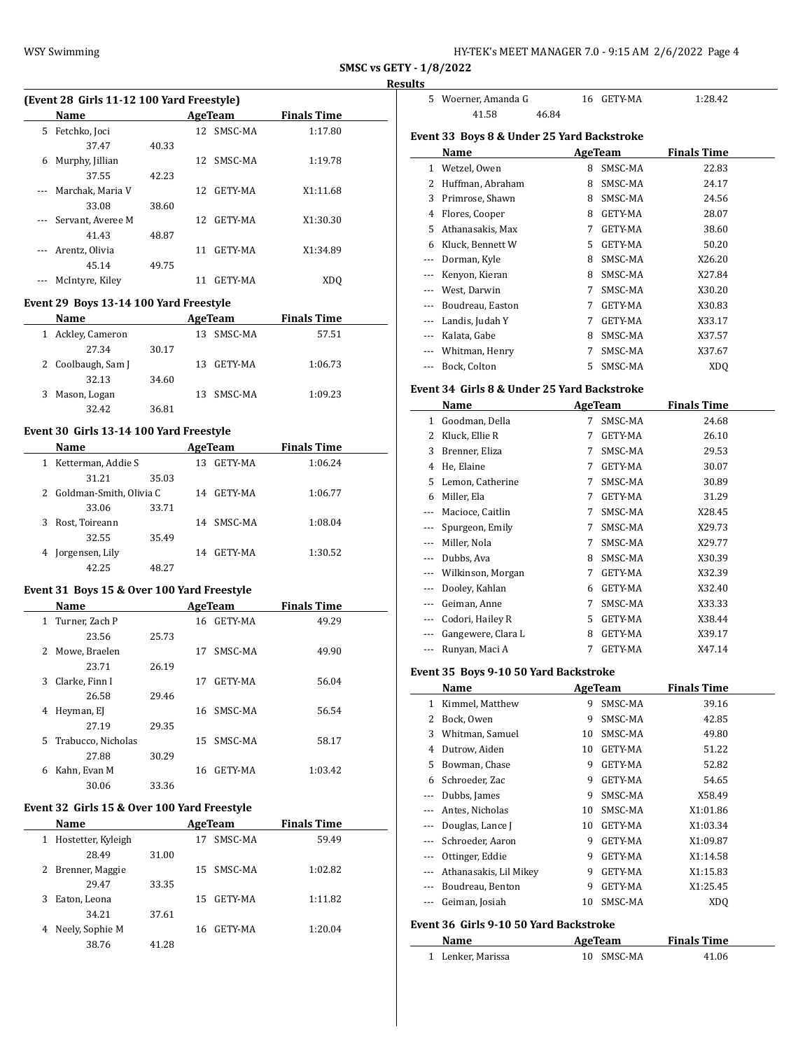| HY-TEK's MEET MANAGER 7.0 - 9:15 AM  2/6/2022  Page 4 |  |  |
|-------------------------------------------------------|--|--|
|-------------------------------------------------------|--|--|

#### **Result**

 $\frac{1}{2}$ 

 $\overline{a}$ 

 $\overline{\phantom{a}}$ 

| (Event 28 Girls 11-12 100 Yard Freestyle) |       |     |                |                    |  |  |  |
|-------------------------------------------|-------|-----|----------------|--------------------|--|--|--|
| <b>Name</b>                               |       |     |                | <b>Finals Time</b> |  |  |  |
| Fetchko, Joci                             |       |     | SMSC-MA        | 1:17.80            |  |  |  |
| 37.47                                     | 40.33 |     |                |                    |  |  |  |
| Murphy, Jillian                           |       | 12  | SMSC-MA        | 1:19.78            |  |  |  |
| 37.55                                     | 42.23 |     |                |                    |  |  |  |
| Marchak, Maria V                          |       | 12. | GETY-MA        | X1:11.68           |  |  |  |
| 33.08                                     | 38.60 |     |                |                    |  |  |  |
| Servant, Averee M                         |       | 12. | GETY-MA        | X1:30.30           |  |  |  |
| 41.43                                     | 48.87 |     |                |                    |  |  |  |
| Arentz, Olivia                            |       | 11  | GETY-MA        | X1:34.89           |  |  |  |
| 45.14                                     | 49.75 |     |                |                    |  |  |  |
| McIntyre, Kiley                           |       | 11  | <b>GETY-MA</b> | XD <sub>O</sub>    |  |  |  |
|                                           |       |     |                | AgeTeam<br>12.     |  |  |  |

#### **Event 29 Boys 13-14 100 Yard Freestyle**

| Name                 |       | AgeTeam    | <b>Finals Time</b> |  |
|----------------------|-------|------------|--------------------|--|
| Ackley, Cameron<br>1 | 13.   | SMSC-MA    | 57.51              |  |
| 27.34                | 30.17 |            |                    |  |
| 2 Coolbaugh, Sam J   | 13.   | GETY-MA    | 1:06.73            |  |
| 32.13                | 34.60 |            |                    |  |
| 3 Mason, Logan       |       | 13 SMSC-MA | 1:09.23            |  |
| 32.42                | 36.81 |            |                    |  |

### **Event 30 Girls 13-14 100 Yard Freestyle**

 $\overline{a}$ 

| Name                      |       |    | AgeTeam | <b>Finals Time</b> |  |
|---------------------------|-------|----|---------|--------------------|--|
| Ketterman, Addie S        |       | 13 | GETY-MA | 1:06.24            |  |
| 31.21                     | 35.03 |    |         |                    |  |
| 2 Goldman-Smith, Olivia C |       | 14 | GETY-MA | 1:06.77            |  |
| 33.06                     | 33.71 |    |         |                    |  |
| Rost, Toireann            |       | 14 | SMSC-MA | 1:08.04            |  |
| 32.55                     | 35.49 |    |         |                    |  |
| Jorgensen, Lily           |       | 14 | GETY-MA | 1:30.52            |  |
| 42.25                     | 48.27 |    |         |                    |  |

### **Event 31 Boys 15 & Over 100 Yard Freestyle**

| <b>Name</b>              |       | AgeTeam        | <b>Finals Time</b> |
|--------------------------|-------|----------------|--------------------|
| 1 Turner, Zach P         |       | GETY-MA<br>16. | 49.29              |
| 23.56                    | 25.73 |                |                    |
| Mowe, Braelen<br>2       |       | SMSC-MA<br>17  | 49.90              |
| 23.71                    | 26.19 |                |                    |
| Clarke, Finn I<br>3      |       | GETY-MA<br>17  | 56.04              |
| 26.58                    | 29.46 |                |                    |
| Heyman, EJ<br>4          |       | 16 SMSC-MA     | 56.54              |
| 27.19                    | 29.35 |                |                    |
| Trabucco, Nicholas<br>5. |       | SMSC-MA<br>15. | 58.17              |
| 27.88                    | 30.29 |                |                    |
| Kahn, Evan M<br>6        |       | GETY-MA<br>16  | 1:03.42            |
| 30.06                    | 33.36 |                |                    |

#### **Event 32 Girls 15 & Over 100 Yard Freestyle**

| <b>Name</b>             |                |     | AgeTeam | <b>Finals Time</b> |  |
|-------------------------|----------------|-----|---------|--------------------|--|
| Hostetter, Kyleigh<br>1 |                | 17  | SMSC-MA | 59.49              |  |
|                         | 28.49<br>31.00 |     |         |                    |  |
| 2 Brenner, Maggie       |                | 15  | SMSC-MA | 1:02.82            |  |
|                         | 33.35<br>29.47 |     |         |                    |  |
| Eaton, Leona<br>3       |                | 15. | GETY-MA | 1:11.82            |  |
|                         | 34.21<br>37.61 |     |         |                    |  |
| Neely, Sophie M<br>4    |                | 16  | GETY-MA | 1:20.04            |  |
|                         | 38.76<br>41.28 |     |         |                    |  |

| lts                   |                                              |             |                |                    |  |
|-----------------------|----------------------------------------------|-------------|----------------|--------------------|--|
| 5                     | Woerner, Amanda G                            | 16          | GETY-MA        | 1:28.42            |  |
|                       | 41.58<br>46.84                               |             |                |                    |  |
|                       |                                              |             |                |                    |  |
|                       | Event 33  Boys 8 & Under 25 Yard Backstroke  |             |                |                    |  |
|                       | Name                                         |             | AgeTeam        | <b>Finals Time</b> |  |
| $\mathbf{1}$          | Wetzel, Owen                                 | 8           | SMSC-MA        | 22.83              |  |
| 2                     | Huffman, Abraham                             | 8           | SMSC-MA        | 24.17              |  |
| 3                     | Primrose, Shawn                              | 8           | SMSC-MA        | 24.56              |  |
|                       | 4 Flores, Cooper                             |             | 8 GETY-MA      | 28.07              |  |
| 5                     | Athanasakis, Max                             | 7           | GETY-MA        | 38.60              |  |
|                       | 6 Kluck, Bennett W                           | 5           | GETY-MA        | 50.20              |  |
| ---                   | Dorman, Kyle                                 | 8           | SMSC-MA        | X26.20             |  |
| ---                   | Kenyon, Kieran                               | 8           | SMSC-MA        | X27.84             |  |
| ---                   | West, Darwin                                 | 7           | SMSC-MA        | X30.20             |  |
| ---                   | Boudreau, Easton                             | 7           | GETY-MA        | X30.83             |  |
| ---                   | Landis, Judah Y                              | 7           | GETY-MA        | X33.17             |  |
| ---                   | Kalata, Gabe                                 | 8           | SMSC-MA        | X37.57             |  |
| ---                   | Whitman, Henry                               | 7           | SMSC-MA        | X37.67             |  |
| ---                   | Bock, Colton                                 | 5           | SMSC-MA        | XDQ                |  |
|                       | Event 34  Girls 8 & Under 25 Yard Backstroke |             |                |                    |  |
|                       | Name                                         |             | <b>AgeTeam</b> | <b>Finals Time</b> |  |
|                       | 1 Goodman, Della                             | $7^{\circ}$ | SMSC-MA        | 24.68              |  |
| $\mathbf{2}^{\prime}$ | Kluck, Ellie R                               | 7           | GETY-MA        | 26.10              |  |
|                       |                                              | 7           |                |                    |  |
| 3<br>4                | Brenner, Eliza                               | 7           | SMSC-MA        | 29.53              |  |
|                       | He, Elaine                                   | 7           | GETY-MA        | 30.07              |  |
| 5                     | Lemon, Catherine                             |             | SMSC-MA        | 30.89              |  |
| 6                     | Miller, Ela                                  | 7           | GETY-MA        | 31.29              |  |
| ---                   | Macioce, Caitlin                             | 7           | SMSC-MA        | X28.45             |  |
| ---                   | Spurgeon, Emily                              | 7           | SMSC-MA        | X29.73             |  |
| ---                   | Miller, Nola                                 | 7           | SMSC-MA        | X29.77             |  |
| ---                   | Dubbs, Ava                                   | 8           | SMSC-MA        | X30.39             |  |
| ---                   | Wilkinson, Morgan                            | 7           | GETY-MA        | X32.39             |  |
| ---                   | Dooley, Kahlan                               | 6           | GETY-MA        | X32.40             |  |
| ---                   | Geiman, Anne                                 | 7           | SMSC-MA        | X33.33             |  |
|                       | Codori, Hailey R                             | 5.          | GETY-MA        | X38.44             |  |
|                       | Gangewere, Clara L                           | 8           | GETY-MA        | X39.17             |  |
| ---                   | Runyan, Maci A                               | 7           | GETY-MA        | X47.14             |  |
|                       | Event 35 Boys 9-10 50 Yard Backstroke        |             |                |                    |  |
|                       | Name                                         |             | AgeTeam        | <b>Finals Time</b> |  |
| $\mathbf{1}$          | Kimmel, Matthew                              | 9           | SMSC-MA        | 39.16              |  |
| 2                     | Bock, Owen                                   | 9           | SMSC-MA        | 42.85              |  |
| 3                     | Whitman, Samuel                              | 10          | SMSC-MA        | 49.80              |  |
| 4                     | Dutrow, Aiden                                | 10          | GETY-MA        | 51.22              |  |
| 5                     | Bowman, Chase                                | 9           | GETY-MA        | 52.82              |  |
|                       | 6 Schroeder, Zac                             | 9           | GETY-MA        | 54.65              |  |
|                       |                                              |             |                |                    |  |

#### **Name AgeTeam Finals Time** 1 Lenker, Marissa 10 SMSC-MA 41.06

**Event 36 Girls 9-10 50 Yard Backstroke**

--- Dubbs, James 9 SMSC-MA X58.49 --- Antes, Nicholas 10 SMSC-MA X1:01.86 --- Douglas, Lance J 10 GETY-MA X1:03.34 --- Schroeder, Aaron 9 GETY-MA X1:09.87 --- Ottinger, Eddie 9 GETY-MA X1:14.58 --- Athanasakis, Lil Mikey 9 GETY-MA X1:15.83 --- Boudreau, Benton 9 GETY-MA X1:25.45 --- Geiman, Josiah 10 SMSC-MA XDQ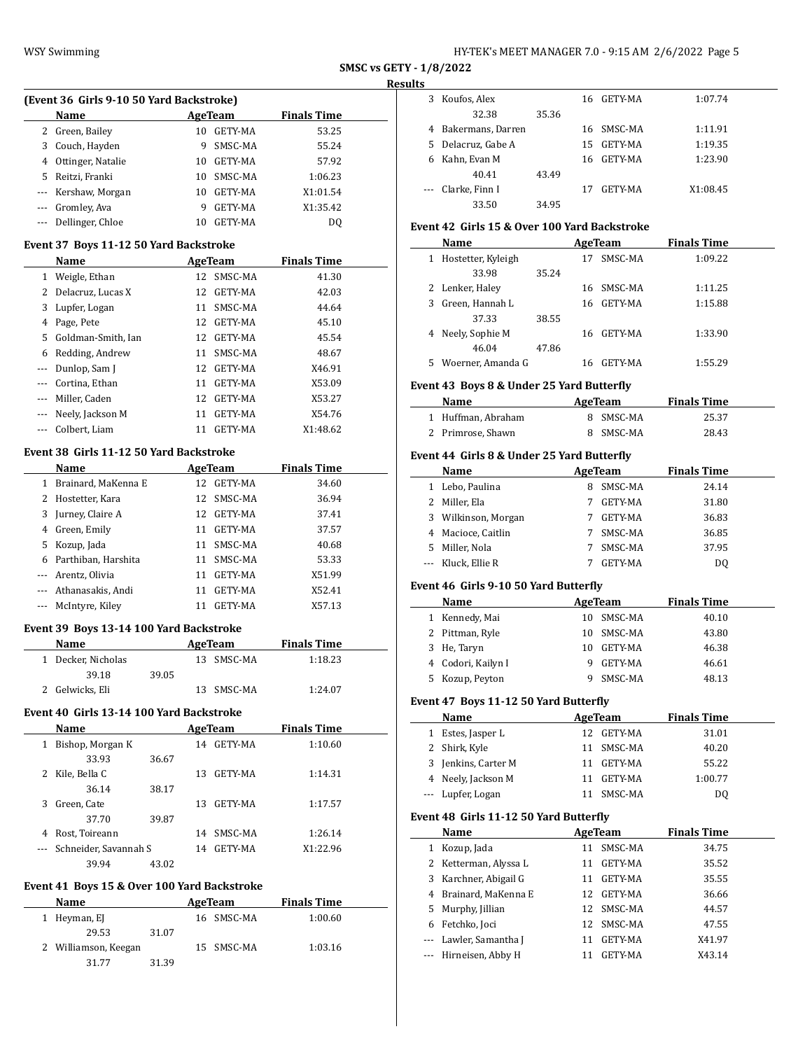| HY-TEK's MEET MANAGER 7.0 - 9:15 AM 2/6/2022 Page 5 |  |  |
|-----------------------------------------------------|--|--|
|-----------------------------------------------------|--|--|

#### **Results**

 $\overline{\phantom{a}}$ 

| (Event 36 Girls 9-10 50 Yard Backstroke) |                      |    |                |                    |  |  |  |  |
|------------------------------------------|----------------------|----|----------------|--------------------|--|--|--|--|
|                                          | <b>Name</b>          |    | AgeTeam        | <b>Finals Time</b> |  |  |  |  |
| 2                                        | Green, Bailey        | 10 | GETY-MA        | 53.25              |  |  |  |  |
| 3                                        | Couch, Hayden        | 9  | SMSC-MA        | 55.24              |  |  |  |  |
| 4                                        | Ottinger, Natalie    | 10 | GETY-MA        | 57.92              |  |  |  |  |
| 5.                                       | Reitzi, Franki       | 10 | SMSC-MA        | 1:06.23            |  |  |  |  |
|                                          | --- Kershaw, Morgan  | 10 | GETY-MA        | X1:01.54           |  |  |  |  |
|                                          | Gromley, Ava         | 9  | GETY-MA        | X1:35.42           |  |  |  |  |
|                                          | --- Dellinger, Chloe | 10 | <b>GETY-MA</b> | D0                 |  |  |  |  |

#### **Event 37 Boys 11-12 50 Yard Backstroke**

|          | Name                 |    | AgeTeam        | <b>Finals Time</b> |
|----------|----------------------|----|----------------|--------------------|
| 1        | Weigle, Ethan        | 12 | SMSC-MA        | 41.30              |
| 2        | Delacruz, Lucas X    | 12 | GETY-MA        | 42.03              |
| 3        | Lupfer, Logan        | 11 | SMSC-MA        | 44.64              |
| 4        | Page, Pete           | 12 | <b>GETY-MA</b> | 45.10              |
|          | 5 Goldman-Smith, Ian | 12 | GETY-MA        | 45.54              |
| 6        | Redding, Andrew      | 11 | SMSC-MA        | 48.67              |
| $\cdots$ | Dunlop, Sam J        | 12 | <b>GETY-MA</b> | X46.91             |
|          | Cortina, Ethan       | 11 | GETY-MA        | X53.09             |
| $\cdots$ | Miller, Caden        | 12 | <b>GETY-MA</b> | X53.27             |
|          | Neely, Jackson M     | 11 | <b>GETY-MA</b> | X54.76             |
| $---$    | Colbert, Liam        | 11 | <b>GETY-MA</b> | X1:48.62           |

### **Event 38 Girls 11-12 50 Yard Backstroke**

|          | Name                |    | AgeTeam    | <b>Finals Time</b> |  |
|----------|---------------------|----|------------|--------------------|--|
| 1        | Brainard, MaKenna E | 12 | GETY-MA    | 34.60              |  |
| 2        | Hostetter, Kara     |    | 12 SMSC-MA | 36.94              |  |
| 3        | Jurney, Claire A    |    | 12 GETY-MA | 37.41              |  |
| 4        | Green, Emily        | 11 | GETY-MA    | 37.57              |  |
| 5.       | Kozup, Jada         | 11 | SMSC-MA    | 40.68              |  |
| 6        | Parthiban, Harshita | 11 | SMSC-MA    | 53.33              |  |
|          | --- Arentz, Olivia  | 11 | GETY-MA    | X51.99             |  |
| $\cdots$ | Athanasakis, Andi   | 11 | GETY-MA    | X52.41             |  |
|          | --- McIntyre, Kiley |    | GETY-MA    | X57.13             |  |

#### **Event 39 Boys 13-14 100 Yard Backstroke**

| Name               |       | AgeTeam |            | <b>Finals Time</b> |  |
|--------------------|-------|---------|------------|--------------------|--|
| 1 Decker, Nicholas |       |         | 13 SMSC-MA | 1:18.23            |  |
| 39.18              | 39.05 |         |            |                    |  |
| 2 Gelwicks, Eli    |       |         | 13 SMSC-MA | 1:24.07            |  |

### **Event 40 Girls 13-14 100 Yard Backstroke**

|   | Name                  |       |     | AgeTeam        | <b>Finals Time</b> |  |
|---|-----------------------|-------|-----|----------------|--------------------|--|
| 1 | Bishop, Morgan K      |       | 14  | GETY-MA        | 1:10.60            |  |
|   | 33.93                 | 36.67 |     |                |                    |  |
| 2 | Kile, Bella C         |       | 13  | <b>GETY-MA</b> | 1:14.31            |  |
|   | 36.14                 | 38.17 |     |                |                    |  |
| 3 | Green, Cate           |       | 13. | GETY-MA        | 1:17.57            |  |
|   | 37.70                 | 39.87 |     |                |                    |  |
| 4 | Rost, Toireann        |       | 14  | SMSC-MA        | 1:26.14            |  |
|   | Schneider, Savannah S |       | 14  | GETY-MA        | X1:22.96           |  |
|   | 39.94                 | 43.02 |     |                |                    |  |

#### **Event 41 Boys 15 & Over 100 Yard Backstroke**

| <b>Name</b>          |       | AgeTeam    | <b>Finals Time</b> |  |
|----------------------|-------|------------|--------------------|--|
| Heyman, EJ           |       | 16 SMSC-MA | 1:00.60            |  |
| 29.53                | 31.07 |            |                    |  |
| 2 Williamson, Keegan |       | 15 SMSC-MA | 1:03.16            |  |
| 31.77                | 31.39 |            |                    |  |

| w        |                    |       |    |            |          |
|----------|--------------------|-------|----|------------|----------|
|          | 3 Koufos, Alex     |       |    | 16 GETY-MA | 1:07.74  |
|          | 32.38              | 35.36 |    |            |          |
| 4        | Bakermans, Darren  |       |    | 16 SMSC-MA | 1:11.91  |
|          | 5 Delacruz, Gabe A |       | 15 | GETY-MA    | 1:19.35  |
| 6        | Kahn, Evan M       |       |    | 16 GETY-MA | 1:23.90  |
|          | 40.41              | 43.49 |    |            |          |
| $\cdots$ | Clarke, Finn I     |       | 17 | GETY-MA    | X1:08.45 |
|          | 33.50              | 34.95 |    |            |          |

# **Event 42 Girls 15 & Over 100 Yard Backstroke**

|   | Name               |       |     | AgeTeam | <b>Finals Time</b> |  |
|---|--------------------|-------|-----|---------|--------------------|--|
| 1 | Hostetter, Kyleigh |       |     | SMSC-MA | 1:09.22            |  |
|   | 33.98              | 35.24 |     |         |                    |  |
|   | 2 Lenker, Haley    |       | 16  | SMSC-MA | 1:11.25            |  |
| 3 | Green, Hannah L    |       | 16  | GETY-MA | 1:15.88            |  |
|   | 37.33              | 38.55 |     |         |                    |  |
| 4 | Neely, Sophie M    |       | 16. | GETY-MA | 1:33.90            |  |
|   | 46.04              | 47.86 |     |         |                    |  |
| 5 | Woerner, Amanda G  |       |     | GETY-MA | 1:55.29            |  |

### **Event 43 Boys 8 & Under 25 Yard Butterfly**

| <b>Name</b>        | AgeTeam   | <b>Finals Time</b> |  |
|--------------------|-----------|--------------------|--|
| 1 Huffman, Abraham | 8 SMSC-MA | 25.37              |  |
| 2 Primrose, Shawn  | 8 SMSC-MA | 28.43              |  |

### **Event 44 Girls 8 & Under 25 Yard Butterfly**

|    | Name                | AgeTeam |                | <b>Finals Time</b> |  |
|----|---------------------|---------|----------------|--------------------|--|
|    | 1 Lebo, Paulina     |         | SMSC-MA        | 24.14              |  |
|    | 2 Miller, Ela       |         | <b>GETY-MA</b> | 31.80              |  |
|    | 3 Wilkinson, Morgan |         | <b>GETY-MA</b> | 36.83              |  |
|    | 4 Macioce, Caitlin  |         | SMSC-MA        | 36.85              |  |
| 5. | Miller, Nola        |         | SMSC-MA        | 37.95              |  |
|    | --- Kluck, Ellie R  |         | <b>GETY-MA</b> | DΟ                 |  |

### **Event 46 Girls 9-10 50 Yard Butterfly**

| Name               |    | AgeTeam    | <b>Finals Time</b> |
|--------------------|----|------------|--------------------|
| 1 Kennedy, Mai     |    | 10 SMSC-MA | 40.10              |
| 2 Pittman, Ryle    |    | 10 SMSC-MA | 43.80              |
| 3 He, Taryn        | 10 | GETY-MA    | 46.38              |
| 4 Codori, Kailyn I |    | GETY-MA    | 46.61              |
| 5 Kozup, Peyton    |    | SMSC-MA    | 48.13              |

### **Event 47 Boys 11-12 50 Yard Butterfly**

| Name                |    | AgeTeam    | <b>Finals Time</b> |
|---------------------|----|------------|--------------------|
| 1 Estes, Jasper L   |    | 12 GETY-MA | 31.01              |
| 2 Shirk, Kyle       |    | 11 SMSC-MA | 40.20              |
| 3 Jenkins, Carter M | 11 | GETY-MA    | 55.22              |
| 4 Neely, Jackson M  | 11 | GETY-MA    | 1:00.77            |
| --- Lupfer, Logan   |    | SMSC-MA    | DO                 |

### **Event 48 Girls 11-12 50 Yard Butterfly**

|   | Name                   |     | AgeTeam        | <b>Finals Time</b> |
|---|------------------------|-----|----------------|--------------------|
| 1 | Kozup, Jada            | 11  | SMSC-MA        | 34.75              |
|   | 2 Ketterman, Alyssa L  | 11  | <b>GETY-MA</b> | 35.52              |
|   | 3 Karchner, Abigail G  | 11  | GETY-MA        | 35.55              |
|   | 4 Brainard, MaKenna E  | 12. | GETY-MA        | 36.66              |
|   | 5 Murphy, Jillian      |     | 12 SMSC-MA     | 44.57              |
| 6 | Fetchko, Joci          | 12  | SMSC-MA        | 47.55              |
|   | --- Lawler, Samantha J | 11  | <b>GETY-MA</b> | X41.97             |
|   | --- Hirneisen, Abby H  |     | <b>GETY-MA</b> | X43.14             |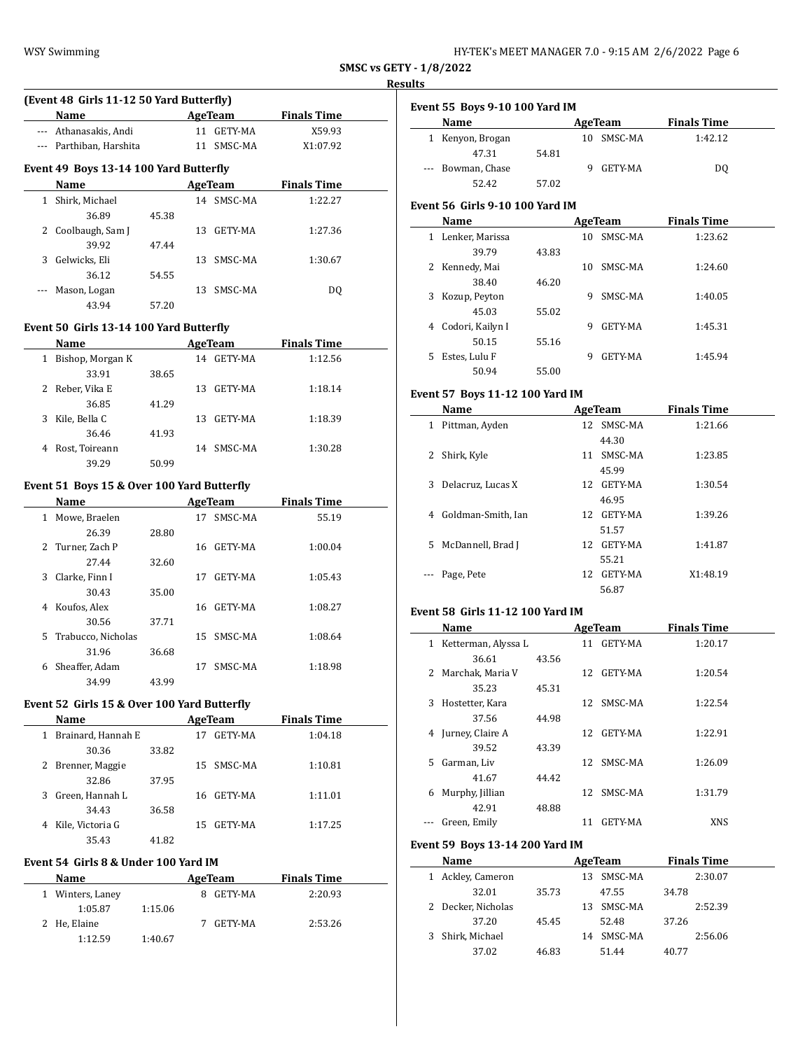### **Results**

 $\overline{\phantom{a}}$ 

|       | Name                                   |       |    | AgeTeam    | <b>Finals Time</b> |
|-------|----------------------------------------|-------|----|------------|--------------------|
|       | Athanasakis, Andi                      |       |    | 11 GETY-MA | X59.93             |
| $---$ | Parthiban, Harshita                    |       | 11 | SMSC-MA    | X1:07.92           |
|       | Event 49 Boys 13-14 100 Yard Butterfly |       |    |            |                    |
|       | Name                                   |       |    | AgeTeam    | <b>Finals Time</b> |
| 1     | Shirk, Michael                         |       |    | 14 SMSC-MA | 1:22.27            |
|       | 36.89                                  | 45.38 |    |            |                    |
| 2     | Coolbaugh, Sam J                       |       | 13 | GETY-MA    | 1:27.36            |
|       | 39.92                                  | 47.44 |    |            |                    |
| 3     | Gelwicks, Eli                          |       | 13 | SMSC-MA    | 1:30.67            |
|       | 36.12                                  | 54.55 |    |            |                    |
|       | Mason, Logan                           |       | 13 | SMSC-MA    | DQ                 |
|       |                                        |       |    |            |                    |

#### **Event 50 Girls 13-14 100 Yard Butterfly**

| Name                  |       | AgeTeam       | <b>Finals Time</b> |  |
|-----------------------|-------|---------------|--------------------|--|
| Bishop, Morgan K<br>1 |       | GETY-MA<br>14 | 1:12.56            |  |
| 33.91                 | 38.65 |               |                    |  |
| 2 Reber, Vika E       |       | GETY-MA<br>13 | 1:18.14            |  |
| 36.85                 | 41.29 |               |                    |  |
| Kile, Bella C<br>3    |       | GETY-MA<br>13 | 1:18.39            |  |
| 36.46                 | 41.93 |               |                    |  |
| Rost, Toireann<br>4   |       | SMSC-MA<br>14 | 1:30.28            |  |
| 39.29                 | 50.99 |               |                    |  |

#### **Event 51 Boys 15 & Over 100 Yard Butterfly**

|    | Name               |       |    | AgeTeam | <b>Finals Time</b> |  |
|----|--------------------|-------|----|---------|--------------------|--|
| 1  | Mowe, Braelen      |       | 17 | SMSC-MA | 55.19              |  |
|    | 26.39              | 28.80 |    |         |                    |  |
|    | 2 Turner, Zach P   |       | 16 | GETY-MA | 1:00.04            |  |
|    | 27.44              | 32.60 |    |         |                    |  |
| 3  | Clarke, Finn I     |       | 17 | GETY-MA | 1:05.43            |  |
|    | 30.43              | 35.00 |    |         |                    |  |
| 4  | Koufos, Alex       |       | 16 | GETY-MA | 1:08.27            |  |
|    | 30.56              | 37.71 |    |         |                    |  |
| 5. | Trabucco, Nicholas |       | 15 | SMSC-MA | 1:08.64            |  |
|    | 31.96              | 36.68 |    |         |                    |  |
| 6  | Sheaffer, Adam     |       | 17 | SMSC-MA | 1:18.98            |  |
|    | 34.99              | 43.99 |    |         |                    |  |

### **Event 52 Girls 15 & Over 100 Yard Butterfly**

| Name                    |       |     | AgeTeam | <b>Finals Time</b> |  |
|-------------------------|-------|-----|---------|--------------------|--|
| Brainard, Hannah E<br>1 |       | 17  | GETY-MA | 1:04.18            |  |
| 30.36                   | 33.82 |     |         |                    |  |
| 2 Brenner, Maggie       |       | 15. | SMSC-MA | 1:10.81            |  |
| 32.86                   | 37.95 |     |         |                    |  |
| Green, Hannah L<br>3    |       | 16  | GETY-MA | 1:11.01            |  |
| 34.43                   | 36.58 |     |         |                    |  |
| Kile, Victoria G<br>4   |       | 15. | GETY-MA | 1:17.25            |  |
| 35.43                   | 41.82 |     |         |                    |  |

### **Event 54 Girls 8 & Under 100 Yard IM**

| Name             |         | AgeTeam      | <b>Finals Time</b> |  |
|------------------|---------|--------------|--------------------|--|
| 1 Winters, Laney |         | GETY-MA<br>8 | 2:20.93            |  |
| 1:05.87          | 1:15.06 |              |                    |  |
| 2 He, Elaine     |         | GETY-MA      | 2:53.26            |  |
| 1:12.59          | 1:40.67 |              |                    |  |

| <b>Event 55 Boys 9-10 100 Yard IM</b> |  |  |
|---------------------------------------|--|--|

| $P(0, 0)$ $P(0, 0)$ $P(0, 0)$ $P(0, 0)$ |       |               |                    |  |  |  |  |
|-----------------------------------------|-------|---------------|--------------------|--|--|--|--|
| Name                                    |       | AgeTeam       | <b>Finals Time</b> |  |  |  |  |
| 1 Kenyon, Brogan                        |       | 10 SMSC-MA    | 1:42.12            |  |  |  |  |
| 47.31                                   | 54.81 |               |                    |  |  |  |  |
| --- Bowman, Chase                       |       | GETY-MA<br>q, | DO                 |  |  |  |  |
| 52.42                                   | 57.02 |               |                    |  |  |  |  |

#### **Event 56 Girls 9-10 100 Yard IM**

|    | Name             |       |    | AgeTeam        | <b>Finals Time</b> |  |
|----|------------------|-------|----|----------------|--------------------|--|
| 1  | Lenker, Marissa  |       | 10 | SMSC-MA        | 1:23.62            |  |
|    | 39.79            | 43.83 |    |                |                    |  |
| 2  | Kennedy, Mai     |       | 10 | SMSC-MA        | 1:24.60            |  |
|    | 38.40            | 46.20 |    |                |                    |  |
| 3  | Kozup, Peyton    |       | 9  | SMSC-MA        | 1:40.05            |  |
|    | 45.03            | 55.02 |    |                |                    |  |
| 4  | Codori, Kailyn I |       | 9  | GETY-MA        | 1:45.31            |  |
|    | 50.15            | 55.16 |    |                |                    |  |
| 5. | Estes, Lulu F    |       | 9  | <b>GETY-MA</b> | 1:45.94            |  |
|    | 50.94            | 55.00 |    |                |                    |  |

## **Event 57 Boys 11-12 100 Yard IM**

|    | Name               |     | AgeTeam    | <b>Finals Time</b> |
|----|--------------------|-----|------------|--------------------|
| 1  | Pittman, Ayden     |     | 12 SMSC-MA | 1:21.66            |
|    |                    |     | 44.30      |                    |
| 2  | Shirk, Kyle        |     | 11 SMSC-MA | 1:23.85            |
|    |                    |     | 45.99      |                    |
| 3  | Delacruz, Lucas X  |     | 12 GETY-MA | 1:30.54            |
|    |                    |     | 46.95      |                    |
| 4  | Goldman-Smith, Ian |     | 12 GETY-MA | 1:39.26            |
|    |                    |     | 51.57      |                    |
| 5. | McDannell, Brad J  |     | 12 GETY-MA | 1:41.87            |
|    |                    |     | 55.21      |                    |
|    | Page, Pete         | 12. | GETY-MA    | X1:48.19           |
|    |                    |     | 56.87      |                    |

#### **Event 58 Girls 11-12 100 Yard IM**

|    | Name                |       |    | AgeTeam    | <b>Finals Time</b> |  |
|----|---------------------|-------|----|------------|--------------------|--|
| 1  | Ketterman, Alyssa L |       | 11 | GETY-MA    | 1:20.17            |  |
|    | 36.61               | 43.56 |    |            |                    |  |
| 2  | Marchak, Maria V    |       | 12 | GETY-MA    | 1:20.54            |  |
|    | 35.23               | 45.31 |    |            |                    |  |
| 3  | Hostetter, Kara     |       |    | 12 SMSC-MA | 1:22.54            |  |
|    | 37.56               | 44.98 |    |            |                    |  |
|    | 4 Jurney, Claire A  |       | 12 | GETY-MA    | 1:22.91            |  |
|    | 39.52               | 43.39 |    |            |                    |  |
| 5. | Garman, Liv         |       | 12 | SMSC-MA    | 1:26.09            |  |
|    | 41.67               | 44.42 |    |            |                    |  |
| 6  | Murphy, Jillian     |       |    | 12 SMSC-MA | 1:31.79            |  |
|    | 42.91               | 48.88 |    |            |                    |  |
|    | Green, Emily        |       | 11 | GETY-MA    | <b>XNS</b>         |  |

#### **Event 59 Boys 13-14 200 Yard IM**

| Name               |       |     | AgeTeam    |       | <b>Finals Time</b> |
|--------------------|-------|-----|------------|-------|--------------------|
| 1 Ackley, Cameron  |       | 13. | SMSC-MA    |       | 2:30.07            |
| 32.01              | 35.73 |     | 47.55      | 34.78 |                    |
| 2 Decker, Nicholas |       |     | 13 SMSC-MA |       | 2:52.39            |
| 37.20              | 45.45 |     | 52.48      | 37.26 |                    |
| 3 Shirk, Michael   |       | 14  | SMSC-MA    |       | 2:56.06            |
| 37.02              | 46.83 |     | 51.44      | 40.77 |                    |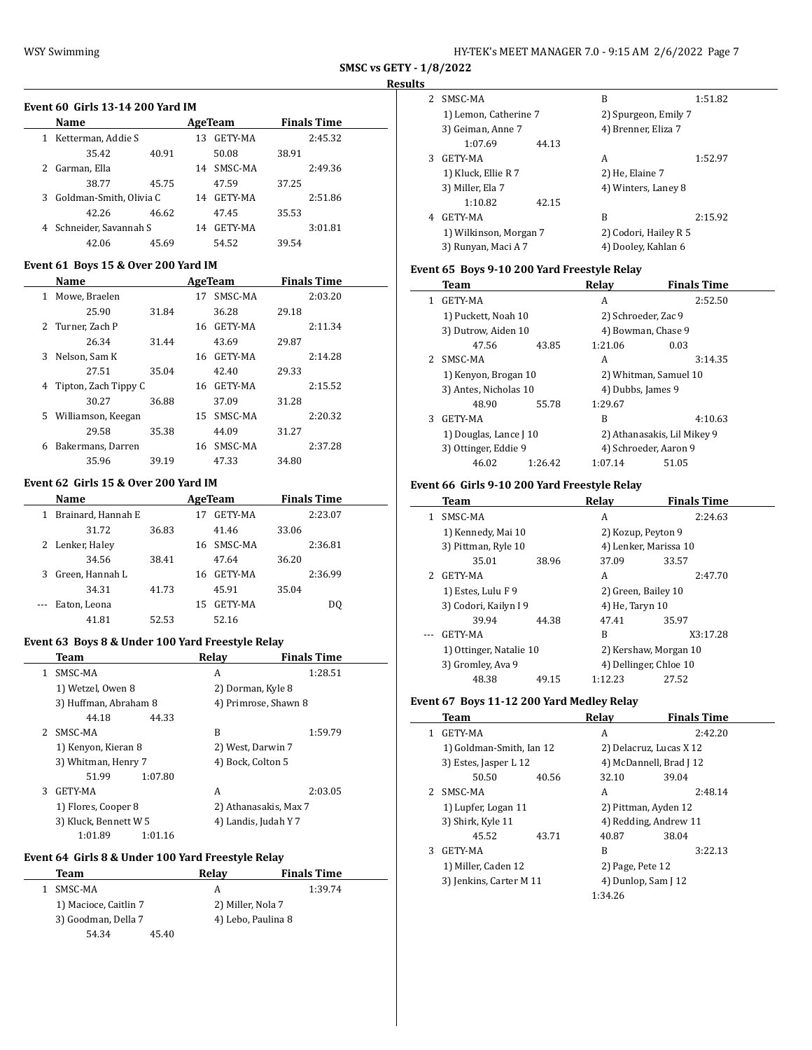$\overline{a}$ 

| HY-TEK's MEET MANAGER 7.0 - 9:15 AM 2/6/2022 Page 7 |  |  |
|-----------------------------------------------------|--|--|
|-----------------------------------------------------|--|--|

**SMSC vs GETY - 1/8/2022**

### **Results**

 $\overline{\phantom{a}}$ 

 $\frac{1}{2}$ 

|   | <b>Name</b>               |       |    | AgeTeam        |       | <b>Finals Time</b> |
|---|---------------------------|-------|----|----------------|-------|--------------------|
| 1 | Ketterman, Addie S        |       | 13 | <b>GETY-MA</b> |       | 2:45.32            |
|   | 35.42                     | 40.91 |    | 50.08          | 38.91 |                    |
|   | 2 Garman, Ella            |       | 14 | SMSC-MA        |       | 2:49.36            |
|   | 38.77                     | 45.75 |    | 47.59          | 37.25 |                    |
|   | 3 Goldman-Smith, Olivia C |       | 14 | <b>GETY-MA</b> |       | 2:51.86            |
|   | 42.26                     | 46.62 |    | 47.45          | 35.53 |                    |
|   | 4 Schneider, Savannah S   |       | 14 | GETY-MA        |       | 3:01.81            |
|   | 42.06                     | 45.69 |    | 54.52          | 39.54 |                    |

#### **Event 61 Boys 15 & Over 200 Yard IM**

| Name                      |       |    | AgeTeam    |       | <b>Finals Time</b> |  |
|---------------------------|-------|----|------------|-------|--------------------|--|
| Mowe, Braelen<br>1.       |       | 17 | SMSC-MA    |       | 2:03.20            |  |
| 25.90                     | 31.84 |    | 36.28      | 29.18 |                    |  |
| Turner, Zach P<br>2       |       | 16 | GETY-MA    |       | 2:11.34            |  |
| 26.34                     | 31.44 |    | 43.69      | 29.87 |                    |  |
| Nelson, Sam K<br>3        |       | 16 | GETY-MA    |       | 2:14.28            |  |
| 27.51                     | 35.04 |    | 42.40      | 29.33 |                    |  |
| Tipton, Zach Tippy C<br>4 |       |    | 16 GETY-MA |       | 2:15.52            |  |
| 30.27                     | 36.88 |    | 37.09      | 31.28 |                    |  |
| Williamson, Keegan<br>5.  |       | 15 | SMSC-MA    |       | 2:20.32            |  |
| 29.58                     | 35.38 |    | 44.09      | 31.27 |                    |  |
| Bakermans, Darren<br>6    |       | 16 | SMSC-MA    |       | 2:37.28            |  |
| 35.96                     | 39.19 |    | 47.33      | 34.80 |                    |  |

#### **Event 62 Girls 15 & Over 200 Yard IM**

|   | Name               |       |    | AgeTeam        |       | <b>Finals Time</b> |  |
|---|--------------------|-------|----|----------------|-------|--------------------|--|
|   | Brainard, Hannah E |       |    | GETY-MA        |       | 2:23.07            |  |
|   | 31.72              | 36.83 |    | 41.46          | 33.06 |                    |  |
|   | 2 Lenker, Haley    |       |    | 16 SMSC-MA     |       | 2:36.81            |  |
|   | 34.56              | 38.41 |    | 47.64          | 36.20 |                    |  |
| 3 | Green, Hannah L    |       | 16 | <b>GETY-MA</b> |       | 2:36.99            |  |
|   | 34.31              | 41.73 |    | 45.91          | 35.04 |                    |  |
|   | Eaton, Leona       |       | 15 | GETY-MA        |       | DO                 |  |
|   | 41.81              | 52.53 |    | 52.16          |       |                    |  |

### **Event 63 Boys 8 & Under 100 Yard Freestyle Relay**

|    | Team                  |         | Relay | <b>Finals Time</b>    |  |
|----|-----------------------|---------|-------|-----------------------|--|
| 1. | SMSC-MA               |         | A     | 1:28.51               |  |
|    | 1) Wetzel, Owen 8     |         |       | 2) Dorman, Kyle 8     |  |
|    | 3) Huffman, Abraham 8 |         |       | 4) Primrose, Shawn 8  |  |
|    | 44.18                 | 44.33   |       |                       |  |
| 2  | SMSC-MA               |         | R     | 1:59.79               |  |
|    | 1) Kenyon, Kieran 8   |         |       | 2) West, Darwin 7     |  |
|    | 3) Whitman, Henry 7   |         |       | 4) Bock, Colton 5     |  |
|    | 51.99                 | 1:07.80 |       |                       |  |
| 3  | GETY-MA               |         | A     | 2:03.05               |  |
|    | 1) Flores, Cooper 8   |         |       | 2) Athanasakis, Max 7 |  |
|    | 3) Kluck, Bennett W 5 |         |       | 4) Landis, Judah Y 7  |  |
|    | 1:01.89               | 1:01.16 |       |                       |  |

#### **Event 64 Girls 8 & Under 100 Yard Freestyle Relay**

| Team                  | Relav | <b>Finals Time</b> |  |
|-----------------------|-------|--------------------|--|
| SMSC-MA               | А     | 1:39.74            |  |
| 1) Macioce, Caitlin 7 |       | 2) Miller, Nola 7  |  |
| 3) Goodman, Della 7   |       | 4) Lebo, Paulina 8 |  |
| 54.34                 | 45.40 |                    |  |

| 2 | SMSC-MA                |       | B                     | 1:51.82 |
|---|------------------------|-------|-----------------------|---------|
|   | 1) Lemon, Catherine 7  |       | 2) Spurgeon, Emily 7  |         |
|   | 3) Geiman, Anne 7      |       | 4) Brenner, Eliza 7   |         |
|   | 1:07.69                | 44.13 |                       |         |
| 3 | <b>GETY-MA</b>         |       | A                     | 1:52.97 |
|   | 1) Kluck, Ellie R 7    |       | 2) He, Elaine 7       |         |
|   | 3) Miller, Ela 7       |       | 4) Winters, Laney 8   |         |
|   | 1:10.82                | 42.15 |                       |         |
| 4 | GETY-MA                |       | B                     | 2:15.92 |
|   | 1) Wilkinson, Morgan 7 |       | 2) Codori, Hailey R 5 |         |
|   | 3) Runyan, Maci A 7    |       | 4) Dooley, Kahlan 6   |         |

### **Event 65 Boys 9-10 200 Yard Freestyle Relay**

|   | Team                   |         | Relay                       | <b>Finals Time</b>    |  |  |
|---|------------------------|---------|-----------------------------|-----------------------|--|--|
| 1 | GETY-MA                |         | А                           | 2:52.50               |  |  |
|   | 1) Puckett, Noah 10    |         | 2) Schroeder, Zac 9         |                       |  |  |
|   | 3) Dutrow, Aiden 10    |         |                             | 4) Bowman, Chase 9    |  |  |
|   | 47.56                  | 43.85   | 1:21.06                     | 0.03                  |  |  |
| 2 | SMSC-MA                |         | А                           | 3:14.35               |  |  |
|   | 1) Kenyon, Brogan 10   |         | 2) Whitman, Samuel 10       |                       |  |  |
|   | 3) Antes, Nicholas 10  |         | 4) Dubbs, James 9           |                       |  |  |
|   | 48.90                  | 55.78   | 1:29.67                     |                       |  |  |
| 3 | GETY-MA                |         | B                           | 4:10.63               |  |  |
|   | 1) Douglas, Lance J 10 |         | 2) Athanasakis, Lil Mikey 9 |                       |  |  |
|   | 3) Ottinger, Eddie 9   |         |                             | 4) Schroeder, Aaron 9 |  |  |
|   | 46.02                  | 1:26.42 | 1:07.14                     | 51.05                 |  |  |

#### **Event 66 Girls 9-10 200 Yard Freestyle Relay**

|   | Team                    |       | Relav                  | <b>Finals Time</b> |
|---|-------------------------|-------|------------------------|--------------------|
| 1 | SMSC-MA                 |       | A                      | 2:24.63            |
|   | 1) Kennedy, Mai 10      |       | 2) Kozup, Peyton 9     |                    |
|   | 3) Pittman, Ryle 10     |       | 4) Lenker, Marissa 10  |                    |
|   | 35.01                   | 38.96 | 37.09                  | 33.57              |
|   | GETY-MA                 |       | A                      | 2:47.70            |
|   | 1) Estes, Lulu F 9      |       | 2) Green, Bailey 10    |                    |
|   | 3) Codori, Kailyn I 9   |       | 4) He, Taryn 10        |                    |
|   | 39.94                   | 44.38 | 47.41                  | 35.97              |
|   | <b>GETY-MA</b>          |       | B                      | X3:17.28           |
|   | 1) Ottinger, Natalie 10 |       | 2) Kershaw, Morgan 10  |                    |
|   | 3) Gromley, Ava 9       |       | 4) Dellinger, Chloe 10 |                    |
|   | 48.38                   | 49.15 | 1:12.23                | 27.52              |

### **Event 67 Boys 11-12 200 Yard Medley Relay**

|               | Team                     |       | Relay                   | <b>Finals Time</b>  |  |
|---------------|--------------------------|-------|-------------------------|---------------------|--|
|               | GETY-MA                  |       | A                       | 2:42.20             |  |
|               | 1) Goldman-Smith, Ian 12 |       | 2) Delacruz, Lucas X 12 |                     |  |
|               | 3) Estes, Jasper L 12    |       | 4) McDannell, Brad J 12 |                     |  |
|               | 50.50                    | 40.56 | 32.10                   | 39.04               |  |
| $\mathcal{P}$ | SMSC-MA                  |       | A                       | 2:48.14             |  |
|               | 1) Lupfer, Logan 11      |       | 2) Pittman, Ayden 12    |                     |  |
|               | 3) Shirk, Kyle 11        |       | 4) Redding, Andrew 11   |                     |  |
|               | 45.52                    | 43.71 | 40.87                   | 38.04               |  |
| 3             | <b>GETY-MA</b>           |       | B                       | 3:22.13             |  |
|               | 1) Miller, Caden 12      |       | 2) Page, Pete 12        |                     |  |
|               | 3) Jenkins, Carter M 11  |       |                         | 4) Dunlop, Sam J 12 |  |
|               | 1:34.26                  |       |                         |                     |  |